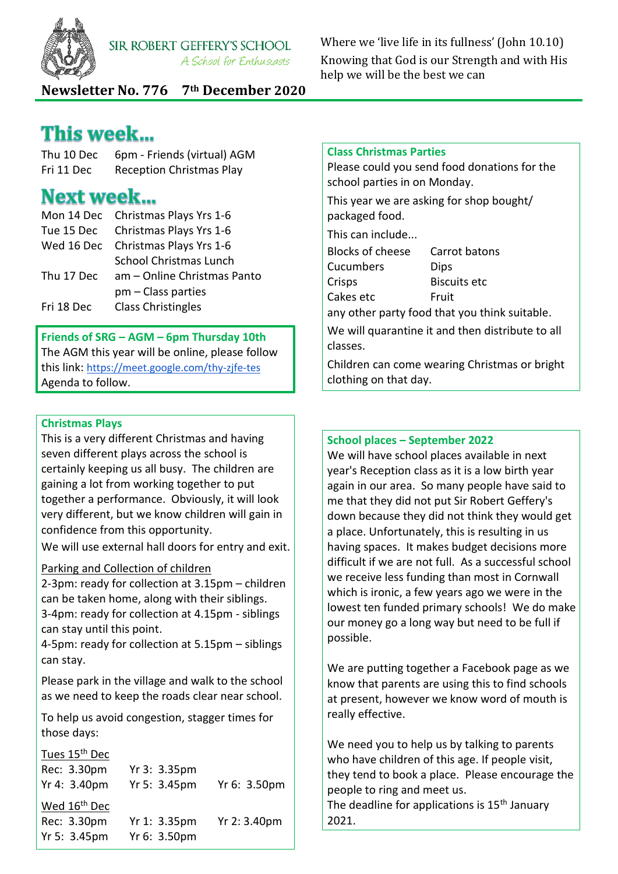

**SIR ROBERT GEFFERY'S SCHOOL** A School for Enthusiasts

Where we 'live life in its fullness' (John 10.10) Knowing that God is our Strength and with His help we will be the best we can

**Newsletter No. 776 7th December 2020**

# This week...

| Thu 10 Dec | 6pm - Friends (virtual) AGM     |
|------------|---------------------------------|
| Fri 11 Dec | <b>Reception Christmas Play</b> |

# **Next week...**

|            | Mon 14 Dec Christmas Plays Yrs 1-6     |
|------------|----------------------------------------|
|            | Tue 15 Dec Christmas Plays Yrs 1-6     |
|            | Wed 16 Dec Christmas Plays Yrs 1-6     |
|            | <b>School Christmas Lunch</b>          |
|            | Thu 17 Dec am - Online Christmas Panto |
|            | $pm - Class$ parties                   |
| Fri 18 Dec | <b>Class Christingles</b>              |

## **Friends of SRG – AGM – 6pm Thursday 10th**

The AGM this year will be online, please follow this link: <https://meet.google.com/thy-zjfe-tes> Agenda to follow.

## **Christmas Plays**

This is a very different Christmas and having seven different plays across the school is certainly keeping us all busy. The children are gaining a lot from working together to put together a performance. Obviously, it will look very different, but we know children will gain in confidence from this opportunity.

We will use external hall doors for entry and exit.

## Parking and Collection of children

2-3pm: ready for collection at 3.15pm – children can be taken home, along with their siblings. 3-4pm: ready for collection at 4.15pm - siblings can stay until this point.

4-5pm: ready for collection at 5.15pm – siblings can stay.

Please park in the village and walk to the school as we need to keep the roads clear near school.

To help us avoid congestion, stagger times for those days:

#### Tues 15<sup>th</sup> Dec

| Yr 3: 3.35pm |              |
|--------------|--------------|
| Yr 5: 3.45pm | Yr 6: 3.50pm |
|              |              |
| Yr 1: 3.35pm | Yr 2: 3.40pm |
| Yr 6: 3.50pm |              |
|              |              |

#### **Class Christmas Parties**

Please could you send food donations for the school parties in on Monday.

This year we are asking for shop bought/ packaged food. This can include... Blocks of cheese Carrot batons Cucumbers Dips Crisps Biscuits etc Cakes etc Fruit

any other party food that you think suitable.

We will quarantine it and then distribute to all classes.

Children can come wearing Christmas or bright clothing on that day.

#### **School places – September 2022**

We will have school places available in next year's Reception class as it is a low birth year again in our area. So many people have said to me that they did not put Sir Robert Geffery's down because they did not think they would get a place. Unfortunately, this is resulting in us having spaces. It makes budget decisions more difficult if we are not full. As a successful school we receive less funding than most in Cornwall which is ironic, a few years ago we were in the lowest ten funded primary schools! We do make our money go a long way but need to be full if possible.

We are putting together a Facebook page as we know that parents are using this to find schools at present, however we know word of mouth is really effective.

We need you to help us by talking to parents who have children of this age. If people visit, they tend to book a place. Please encourage the people to ring and meet us. The deadline for applications is 15<sup>th</sup> January 2021.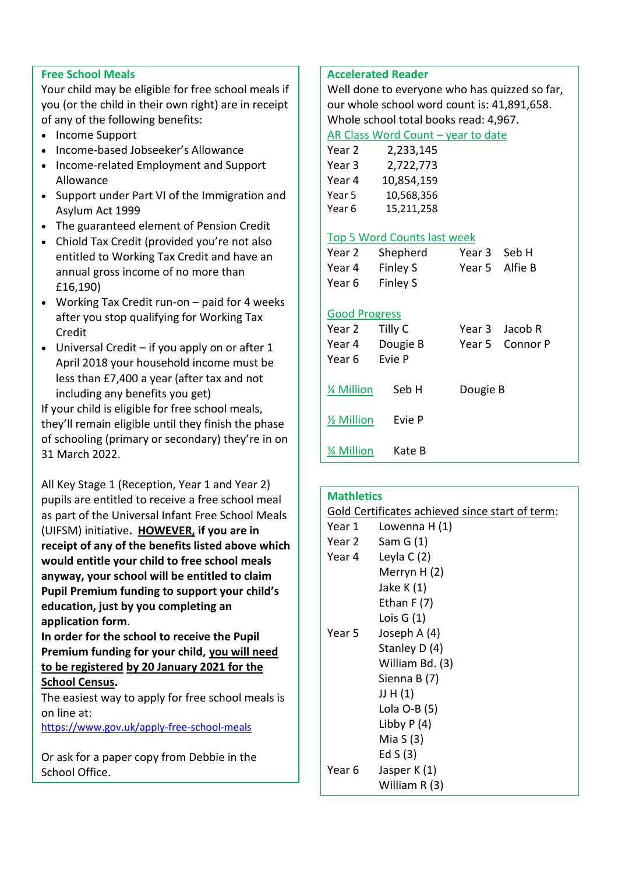### **Free School Meals**

Your child may be eligible for free school meals if you (or the child in their own right) are in receipt of any of the following benefits:

- Income Support
- Income-based Jobseeker's Allowance
- Income-related Employment and Support Allowance
- Support under Part VI of the Immigration and Asylum Act 1999
- The guaranteed element of Pension Credit
- Chiold Tax Credit (provided you're not also entitled to Working Tax Credit and have an annual gross income of no more than £16,190)
- Working Tax Credit run-on paid for 4 weeks after you stop qualifying for Working Tax Credit
- Universal Credit if you apply on or after 1 April 2018 your household income must be less than £7,400 a year (after tax and not including any benefits you get)

If your child is eligible for free school meals, they'll remain eligible until they finish the phase of schooling (primary or secondary) they're in on 31 March 2022.

All Key Stage 1 (Reception, Year 1 and Year 2) pupils are entitled to receive a free school meal as part of the Universal Infant Free School Meals (UIFSM) initiative**. HOWEVER, if you are in receipt of any of the benefits listed above which would entitle your child to free school meals anyway, your school will be entitled to claim Pupil Premium funding to support your child's education, just by you completing an application form**.

**In order for the school to receive the Pupil Premium funding for your child, you will need to be registered by 20 January 2021 for the School Census.**

The easiest way to apply for free school meals is on line at:

<https://www.gov.uk/apply-free-school-meals>

Or ask for a paper copy from Debbie in the School Office.

#### **Accelerated Reader**

Well done to everyone who has quizzed so far, our whole school word count is: 41,891,658. Whole school total books read: 4,967.

#### AR Class Word Count – year to date

| Year 2 | 2,233,145  |
|--------|------------|
| Year 3 | 2,722,773  |
| Year 4 | 10,854,159 |
| Year 5 | 10,568,356 |
| Year 6 | 15,211,258 |

#### Top 5 Word Counts last week

| Year 2 | Shepherd        | Year 3 Seb H |                |
|--------|-----------------|--------------|----------------|
| Year 4 | <b>Finley S</b> |              | Year 5 Alfie B |
| Year 6 | Finley S        |              |                |

#### Good Progress

| Year 2<br>Year 4<br>Year 6 | Tilly C<br>Dougie B<br>Evie P | Year 3 Jacob R<br>Year 5 Connor P |
|----------------------------|-------------------------------|-----------------------------------|
| 1⁄4 Million                | Seb H                         | Dougie B                          |
| 1/ <sub>2</sub> Million    | Evie P                        |                                   |
| <b>% Million</b>           | Kate B                        |                                   |

| <b>Mathletics</b>                               |                      |  |
|-------------------------------------------------|----------------------|--|
| Gold Certificates achieved since start of term: |                      |  |
| Year 1                                          | Lowenna H (1)        |  |
|                                                 | Year $2$ Sam G $(1)$ |  |
|                                                 | Year 4 Leyla C $(2)$ |  |
|                                                 | Merryn H (2)         |  |
|                                                 | Jake K $(1)$         |  |
|                                                 | Ethan $F(7)$         |  |
|                                                 | Lois $G(1)$          |  |
| Year 5                                          | Joseph $A(4)$        |  |
|                                                 | Stanley D (4)        |  |
|                                                 | William Bd. (3)      |  |
|                                                 | Sienna B (7)         |  |
|                                                 | JJ H $(1)$           |  |
|                                                 | Lola $O-B(5)$        |  |
|                                                 | Libby $P(4)$         |  |
|                                                 | Mia S $(3)$          |  |
|                                                 | Ed S (3)             |  |
| Year 6                                          | Jasper $K(1)$        |  |
|                                                 | William R (3)        |  |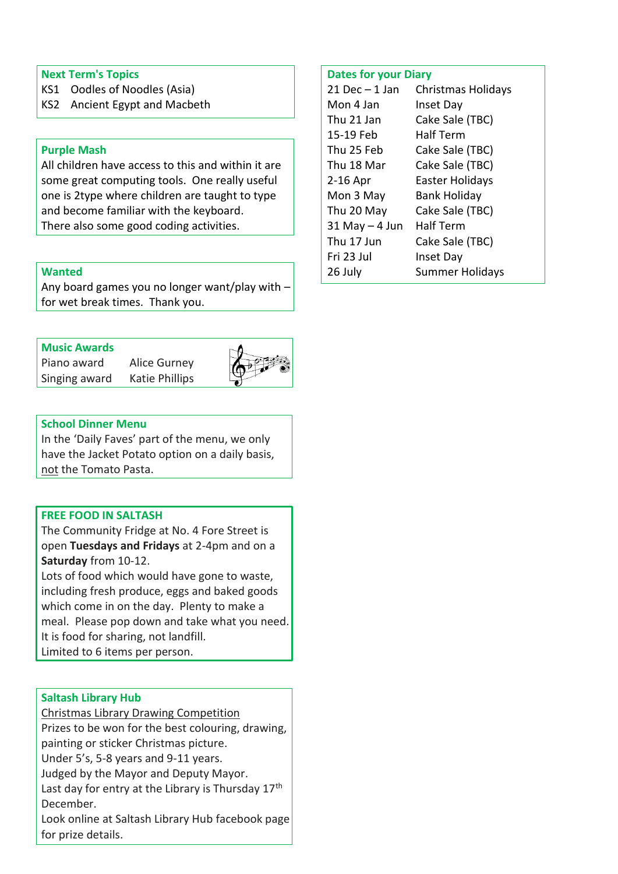#### **Next Term's Topics**

- KS1 Oodles of Noodles (Asia)
- KS2 Ancient Egypt and Macbeth

#### **Purple Mash**

All children have access to this and within it are some great computing tools. One really useful one is 2type where children are taught to type and become familiar with the keyboard. There also some good coding activities.

#### **Wanted**

Any board games you no longer want/play with – for wet break times. Thank you.

## **Music Awards**

Piano award Alice Gurney Singing award Katie Phillips





#### **School Dinner Menu**

In the 'Daily Faves' part of the menu, we only have the Jacket Potato option on a daily basis, not the Tomato Pasta.

#### **FREE FOOD IN SALTASH**

The Community Fridge at No. 4 Fore Street is open **Tuesdays and Fridays** at 2-4pm and on a **Saturday** from 10-12.

Lots of food which would have gone to waste, including fresh produce, eggs and baked goods which come in on the day. Plenty to make a meal. Please pop down and take what you need. It is food for sharing, not landfill. Limited to 6 items per person.

#### **Saltash Library Hub**

Christmas Library Drawing Competition Prizes to be won for the best colouring, drawing, painting or sticker Christmas picture.

Under 5's, 5-8 years and 9-11 years.

Judged by the Mayor and Deputy Mayor.

Last day for entry at the Library is Thursday 17<sup>th</sup> December.

Look online at Saltash Library Hub facebook page for prize details.

#### **Dates for your Diary**

| $21$ Dec $-1$ Jan | <b>Christmas Holidays</b> |
|-------------------|---------------------------|
| Mon 4 Jan         | Inset Day                 |
| Thu 21 Jan        | Cake Sale (TBC)           |
| 15-19 Feb         | Half Term                 |
| Thu 25 Feb        | Cake Sale (TBC)           |
| Thu 18 Mar        | Cake Sale (TBC)           |
| 2-16 Apr          | <b>Easter Holidays</b>    |
| Mon 3 May         | <b>Bank Holiday</b>       |
| Thu 20 May        | Cake Sale (TBC)           |
| $31$ May $-4$ Jun | <b>Half Term</b>          |
| Thu 17 Jun        | Cake Sale (TBC)           |
| Fri 23 Jul        | <b>Inset Day</b>          |
| 26 July           | <b>Summer Holidays</b>    |